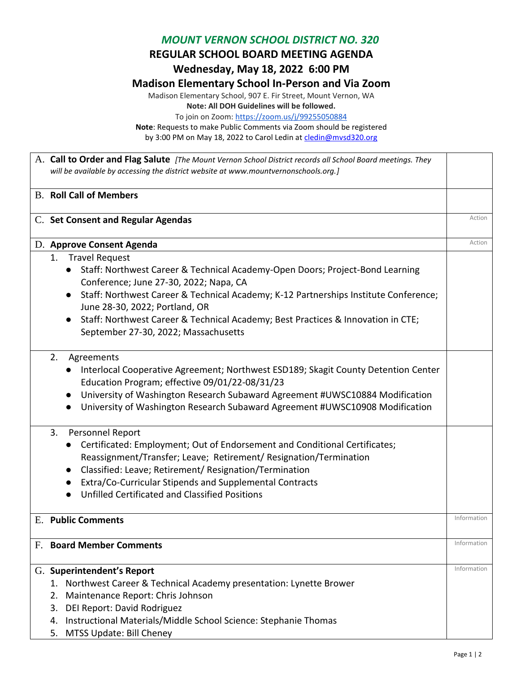## *MOUNT VERNON SCHOOL DISTRICT NO. 320*

**REGULAR SCHOOL BOARD MEETING AGENDA**

**Wednesday, May 18, 2022 6:00 PM**

## **Madison Elementary School In-Person and Via Zoom**

Madison Elementary School, 907 E. Fir Street, Mount Vernon, WA **Note: All DOH Guidelines will be followed.** To join on Zoom:<https://zoom.us/j/99255050884>

**Note**: Requests to make Public Comments via Zoom should be registered by 3:00 PM on May 18, 2022 to Carol Ledin a[t cledin@mvsd320.org](mailto:cledin@mvsd320.org)

A. **Call to Order and Flag Salute** *[The Mount Vernon School District records all School Board meetings. They will be available by accessing the district website at www.mountvernonschools.org.]* B. **Roll Call of Members**  C. Set Consent and Regular Agendas **Action** 2012 12:30 and 2012 12:30 and 2013 12:30 and 2013 12:30 and 2013 12:30 and 2013 12:30 and 2013 12:30 and 2013 12:30 and 2013 12:30 and 2013 12:30 and 2013 12:30 and 2013 12:30 an **D. Approve Consent Agenda** Action **Conservation** Action 1. Travel Request ● Staff: Northwest Career & Technical Academy-Open Doors; Project-Bond Learning Conference; June 27-30, 2022; Napa, CA ● Staff: Northwest Career & Technical Academy; K-12 Partnerships Institute Conference; June 28-30, 2022; Portland, OR ● Staff: Northwest Career & Technical Academy; Best Practices & Innovation in CTE; September 27-30, 2022; Massachusetts 2. Agreements ● Interlocal Cooperative Agreement; Northwest ESD189; Skagit County Detention Center Education Program; effective 09/01/22-08/31/23 ● University of Washington Research Subaward Agreement #UWSC10884 Modification ● University of Washington Research Subaward Agreement #UWSC10908 Modification 3. Personnel Report ● Certificated: Employment; Out of Endorsement and Conditional Certificates; Reassignment/Transfer; Leave; Retirement/ Resignation/Termination ● Classified: Leave; Retirement/ Resignation/Termination ● Extra/Co-Curricular Stipends and Supplemental Contracts ● Unfilled Certificated and Classified Positions E. **Public Comments Information F. Board Member Comments Information** G. **Superintendent's Report**  1. Northwest Career & Technical Academy presentation: Lynette Brower 2. Maintenance Report: Chris Johnson 3. DEI Report: David Rodriguez 4. Instructional Materials/Middle School Science: Stephanie Thomas 5. MTSS Update: Bill Cheney Information